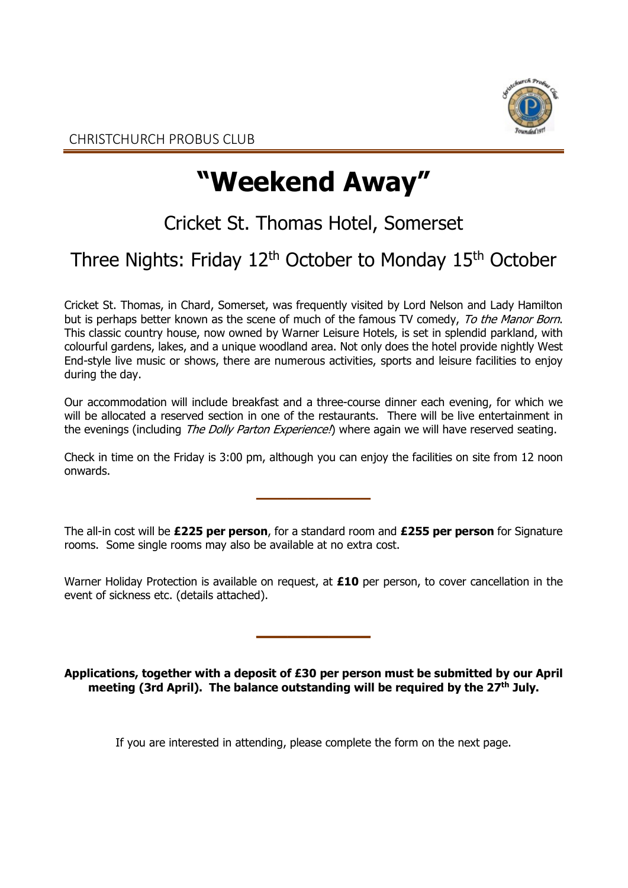

# **"Weekend Away"**

## Cricket St. Thomas Hotel, Somerset

### Three Nights: Friday 12<sup>th</sup> October to Monday 15<sup>th</sup> October

Cricket St. Thomas, in Chard, Somerset, was frequently visited by Lord Nelson and Lady Hamilton but is perhaps better known as the scene of much of the famous TV comedy, To the Manor Born. This classic country house, now owned by Warner Leisure Hotels, is set in splendid parkland, with colourful gardens, lakes, and a unique woodland area. Not only does the hotel provide nightly West End-style live music or shows, there are numerous activities, sports and leisure facilities to enjoy during the day.

Our accommodation will include breakfast and a three-course dinner each evening, for which we will be allocated a reserved section in one of the restaurants. There will be live entertainment in the evenings (including The Dolly Parton Experience!) where again we will have reserved seating.

Check in time on the Friday is 3:00 pm, although you can enjoy the facilities on site from 12 noon onwards.

 $\overline{\phantom{a}}$ 

The all-in cost will be **£225 per person**, for a standard room and **£255 per person** for Signature rooms. Some single rooms may also be available at no extra cost.

Warner Holiday Protection is available on request, at **£10** per person, to cover cancellation in the event of sickness etc. (details attached).

 $\overline{\phantom{a}}$  , where  $\overline{\phantom{a}}$ 

**Applications, together with a deposit of £30 per person must be submitted by our April meeting (3rd April). The balance outstanding will be required by the 27th July.**

If you are interested in attending, please complete the form on the next page.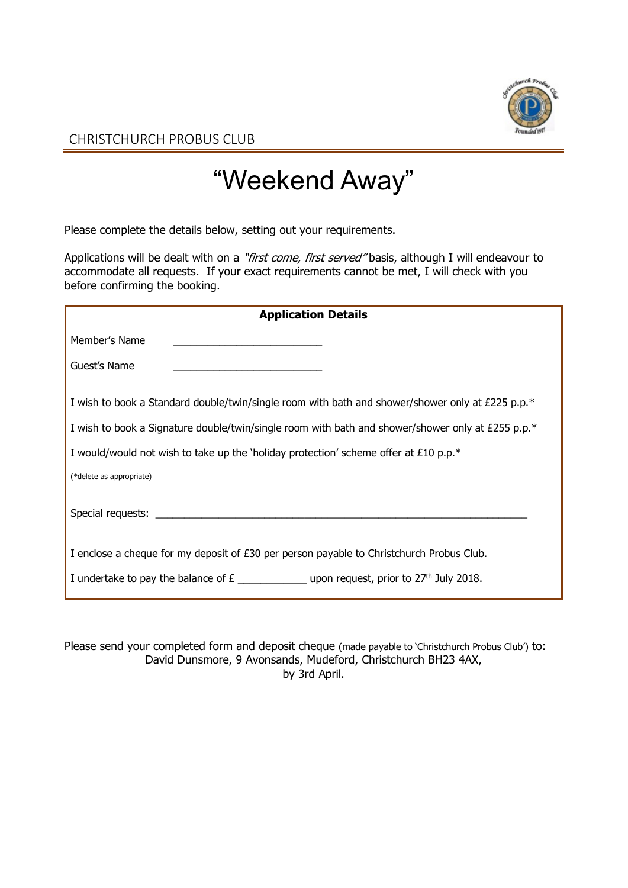

CHRISTCHURCH PROBUS CLUB

## "Weekend Away"

Please complete the details below, setting out your requirements.

Applications will be dealt with on a "first come, first served" basis, although I will endeavour to accommodate all requests. If your exact requirements cannot be met, I will check with you before confirming the booking.

| <b>Application Details</b>                                                                           |  |  |
|------------------------------------------------------------------------------------------------------|--|--|
| Member's Name                                                                                        |  |  |
| Guest's Name                                                                                         |  |  |
| I wish to book a Standard double/twin/single room with bath and shower/shower only at £225 p.p. $*$  |  |  |
| I wish to book a Signature double/twin/single room with bath and shower/shower only at £255 p.p. $*$ |  |  |
| I would/would not wish to take up the 'holiday protection' scheme offer at £10 p.p. $*$              |  |  |
| (*delete as appropriate)                                                                             |  |  |
|                                                                                                      |  |  |
| I enclose a cheque for my deposit of £30 per person payable to Christchurch Probus Club.             |  |  |
| I undertake to pay the balance of $E_$ ________________ upon request, prior to $27th$ July 2018.     |  |  |

Please send your completed form and deposit cheque (made payable to 'Christchurch Probus Club') to: David Dunsmore, 9 Avonsands, Mudeford, Christchurch BH23 4AX, by 3rd April.